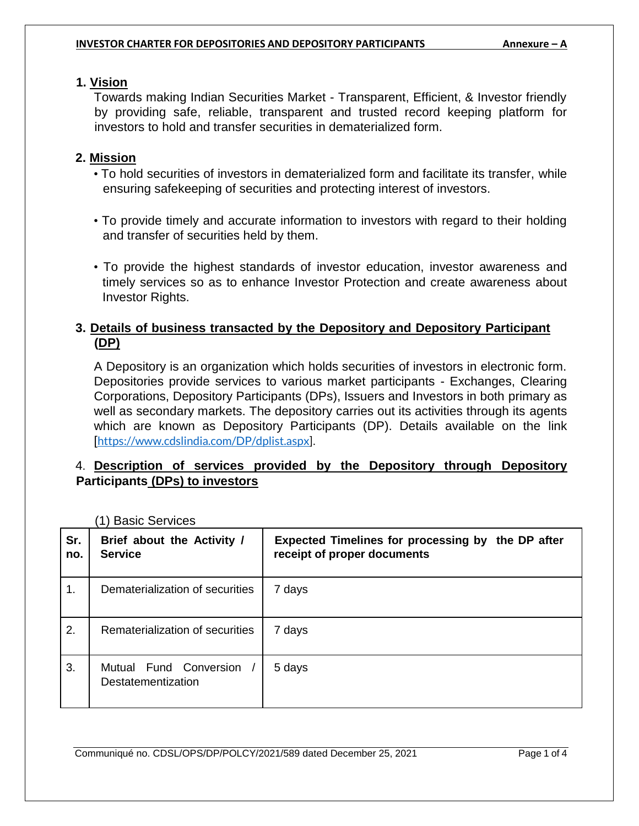## **1. Vision**

Towards making Indian Securities Market - Transparent, Efficient, & Investor friendly by providing safe, reliable, transparent and trusted record keeping platform for investors to hold and transfer securities in dematerialized form.

## **2. Mission**

- To hold securities of investors in dematerialized form and facilitate its transfer, while ensuring safekeeping of securities and protecting interest of investors.
- To provide timely and accurate information to investors with regard to their holding and transfer of securities held by them.
- To provide the highest standards of investor education, investor awareness and timely services so as to enhance Investor Protection and create awareness about Investor Rights.

# **3. Details of business transacted by the Depository and Depository Participant (DP)**

A Depository is an organization which holds securities of investors in electronic form. Depositories provide services to various market participants - Exchanges, Clearing Corporations, Depository Participants (DPs), Issuers and Investors in both primary as well as secondary markets. The depository carries out its activities through its agents which are known as Depository Participants (DP). Details available on the link [https://www.cdslindia.com/DP/dplist.aspx].

# 4. **Description of services provided by the Depository through Depository Participants (DPs) to investors**

| Sr.<br>no. | Brief about the Activity /<br><b>Service</b> | Expected Timelines for processing by the DP after<br>receipt of proper documents |
|------------|----------------------------------------------|----------------------------------------------------------------------------------|
| 1.         | Dematerialization of securities              | 7 days                                                                           |
| 2.         | Rematerialization of securities              | 7 days                                                                           |
| 3.         | Mutual Fund Conversion<br>Destatementization | 5 days                                                                           |

(1) Basic Services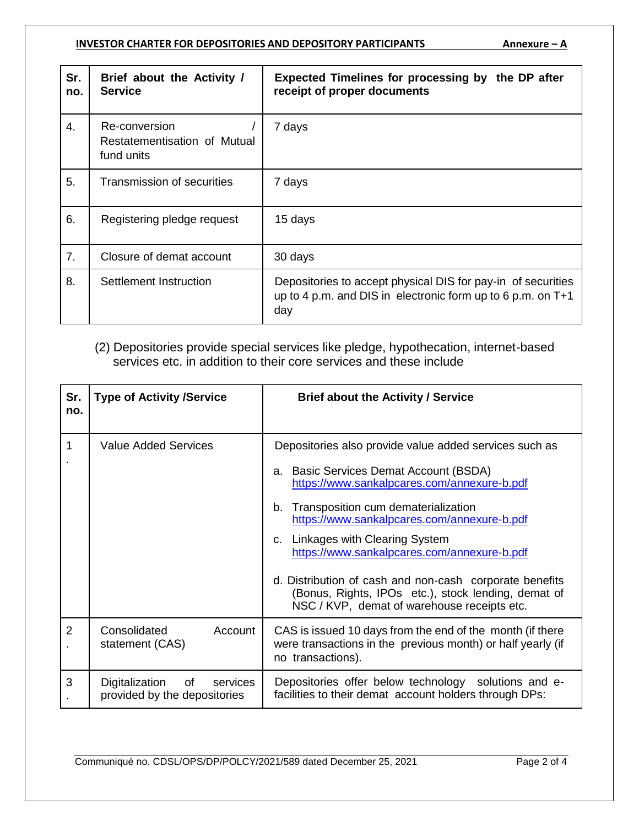### **INVESTOR CHARTER FOR DEPOSITORIES AND DEPOSITORY PARTICIPANTS Annexure - A**

| Sr.<br>no.     | Brief about the Activity /<br><b>Service</b>                | Expected Timelines for processing by the DP after<br>receipt of proper documents                                                     |
|----------------|-------------------------------------------------------------|--------------------------------------------------------------------------------------------------------------------------------------|
| 4.             | Re-conversion<br>Restatementisation of Mutual<br>fund units | 7 days                                                                                                                               |
| 5.             | Transmission of securities                                  | 7 days                                                                                                                               |
| 6.             | Registering pledge request                                  | 15 days                                                                                                                              |
| 7 <sub>1</sub> | Closure of demat account                                    | 30 days                                                                                                                              |
| 8.             | Settlement Instruction                                      | Depositories to accept physical DIS for pay-in of securities<br>up to 4 p.m. and DIS in electronic form up to 6 p.m. on $T+1$<br>day |

# (2) Depositories provide special services like pledge, hypothecation, internet-based services etc. in addition to their core services and these include

| Sr.<br>no.     | <b>Type of Activity /Service</b>                                 | <b>Brief about the Activity / Service</b>                                                                                                                                                                                                                                                                                                                                                                                                                                                       |
|----------------|------------------------------------------------------------------|-------------------------------------------------------------------------------------------------------------------------------------------------------------------------------------------------------------------------------------------------------------------------------------------------------------------------------------------------------------------------------------------------------------------------------------------------------------------------------------------------|
| 1              | <b>Value Added Services</b>                                      | Depositories also provide value added services such as<br>a. Basic Services Demat Account (BSDA)<br>https://www.sankalpcares.com/annexure-b.pdf<br>Transposition cum dematerialization<br>b.<br>https://www.sankalpcares.com/annexure-b.pdf<br>c. Linkages with Clearing System<br>https://www.sankalpcares.com/annexure-b.pdf<br>d. Distribution of cash and non-cash corporate benefits<br>(Bonus, Rights, IPOs etc.), stock lending, demat of<br>NSC / KVP, demat of warehouse receipts etc. |
| $\overline{2}$ | Consolidated<br>Account<br>statement (CAS)                       | CAS is issued 10 days from the end of the month (if there<br>were transactions in the previous month) or half yearly (if<br>no transactions).                                                                                                                                                                                                                                                                                                                                                   |
| 3              | Digitalization<br>of<br>services<br>provided by the depositories | Depositories offer below technology solutions and e-<br>facilities to their demat account holders through DPs:                                                                                                                                                                                                                                                                                                                                                                                  |

Communiqué no. CDSL/OPS/DP/POLCY/2021/589 dated December 25, 2021 Page 2 of 4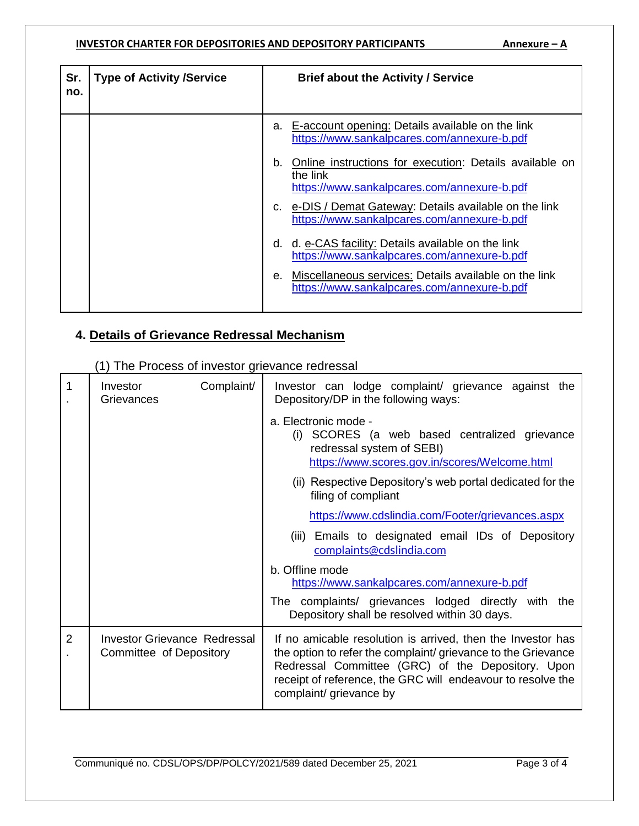### **INVESTOR CHARTER FOR DEPOSITORIES AND DEPOSITORY PARTICIPANTS Annexure - A**

| Sr.<br>no. | <b>Type of Activity /Service</b> |    | <b>Brief about the Activity / Service</b>                                                                          |
|------------|----------------------------------|----|--------------------------------------------------------------------------------------------------------------------|
|            |                                  | a. | E-account opening: Details available on the link<br>https://www.sankalpcares.com/annexure-b.pdf                    |
|            |                                  | b. | Online instructions for execution: Details available on<br>the link<br>https://www.sankalpcares.com/annexure-b.pdf |
|            |                                  |    | c. e-DIS / Demat Gateway: Details available on the link<br>https://www.sankalpcares.com/annexure-b.pdf             |
|            |                                  | d. | d. e-CAS facility: Details available on the link<br>https://www.sankalpcares.com/annexure-b.pdf                    |
|            |                                  | е. | Miscellaneous services: Details available on the link<br>https://www.sankalpcares.com/annexure-b.pdf               |

# **4. Details of Grievance Redressal Mechanism**

(1) The Process of investor grievance redressal

| 1              | Complaint/<br>Investor<br>Grievances                    | Investor can lodge complaint/ grievance against the<br>Depository/DP in the following ways:                                                                                                                                                                                |
|----------------|---------------------------------------------------------|----------------------------------------------------------------------------------------------------------------------------------------------------------------------------------------------------------------------------------------------------------------------------|
|                |                                                         | a. Electronic mode -<br>(i) SCORES (a web based centralized grievance<br>redressal system of SEBI)<br>https://www.scores.gov.in/scores/Welcome.html                                                                                                                        |
|                |                                                         | (ii) Respective Depository's web portal dedicated for the<br>filing of compliant                                                                                                                                                                                           |
|                |                                                         | https://www.cdslindia.com/Footer/grievances.aspx                                                                                                                                                                                                                           |
|                |                                                         | (iii) Emails to designated email IDs of Depository<br>complaints@cdslindia.com                                                                                                                                                                                             |
|                |                                                         | b. Offline mode<br>https://www.sankalpcares.com/annexure-b.pdf                                                                                                                                                                                                             |
|                |                                                         | The complaints/ grievances lodged directly with the<br>Depository shall be resolved within 30 days.                                                                                                                                                                        |
| $\overline{2}$ | Investor Grievance Redressal<br>Committee of Depository | If no amicable resolution is arrived, then the Investor has<br>the option to refer the complaint/grievance to the Grievance<br>Redressal Committee (GRC) of the Depository. Upon<br>receipt of reference, the GRC will endeavour to resolve the<br>complaint/ grievance by |